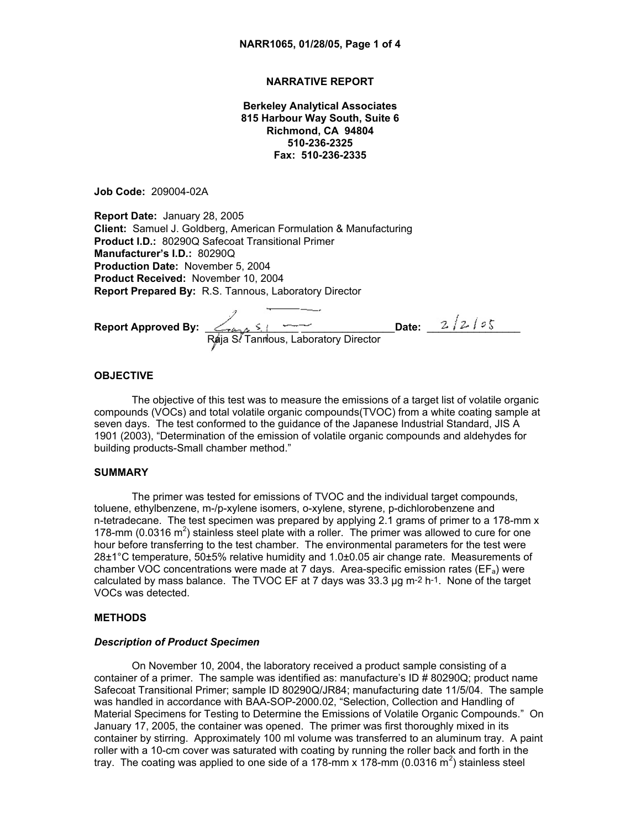## **NARRATIVE REPORT**

**Berkeley Analytical Associates 815 Harbour Way South, Suite 6 Richmond, CA 94804 510-236-2325 Fax: 510-236-2335**

**Job Code:** 209004-02A

**Report Date:** January 28, 2005 **Client:** Samuel J. Goldberg, American Formulation & Manufacturing **Product I.D.:** 80290Q Safecoat Transitional Primer **Manufacturer's I.D.:** 80290Q **Production Date:** November 5, 2004 **Product Received:** November 10, 2004 **Report Prepared By:** R.S. Tannous, Laboratory Director

**Report Approved By:** \_\_\_\_\_\_\_\_\_\_\_\_\_\_\_\_ \_\_\_\_\_\_\_\_\_\_\_\_\_\_\_\_**Date:** \_\_\_\_\_\_\_\_\_\_\_\_\_\_\_\_ Raja S. Tannous, Laboratory Director

### **OBJECTIVE**

The objective of this test was to measure the emissions of a target list of volatile organic compounds (VOCs) and total volatile organic compounds(TVOC) from a white coating sample at seven days. The test conformed to the guidance of the Japanese Industrial Standard, JIS A 1901 (2003), "Determination of the emission of volatile organic compounds and aldehydes for building products-Small chamber method."

### **SUMMARY**

The primer was tested for emissions of TVOC and the individual target compounds, toluene, ethylbenzene, m-/p-xylene isomers, o-xylene, styrene, p-dichlorobenzene and n-tetradecane. The test specimen was prepared by applying 2.1 grams of primer to a 178-mm x 178-mm (0.0316  $m^2$ ) stainless steel plate with a roller. The primer was allowed to cure for one hour before transferring to the test chamber. The environmental parameters for the test were 28±1°C temperature, 50±5% relative humidity and 1.0±0.05 air change rate. Measurements of chamber VOC concentrations were made at 7 days. Area-specific emission rates ( $EF_a$ ) were calculated by mass balance. The TVOC EF at 7 days was  $33.3 \mu g$  m $^{-2}$  h $^{-1}$ . None of the target VOCs was detected.

### **METHODS**

## *Description of Product Specimen*

On November 10, 2004, the laboratory received a product sample consisting of a container of a primer. The sample was identified as: manufacture's ID # 80290Q; product name Safecoat Transitional Primer; sample ID 80290Q/JR84; manufacturing date 11/5/04. The sample was handled in accordance with BAA-SOP-2000.02, "Selection, Collection and Handling of Material Specimens for Testing to Determine the Emissions of Volatile Organic Compounds." On January 17, 2005, the container was opened. The primer was first thoroughly mixed in its container by stirring. Approximately 100 ml volume was transferred to an aluminum tray. A paint roller with a 10-cm cover was saturated with coating by running the roller back and forth in the tray. The coating was applied to one side of a 178-mm x 178-mm (0.0316 m<sup>2</sup>) stainless steel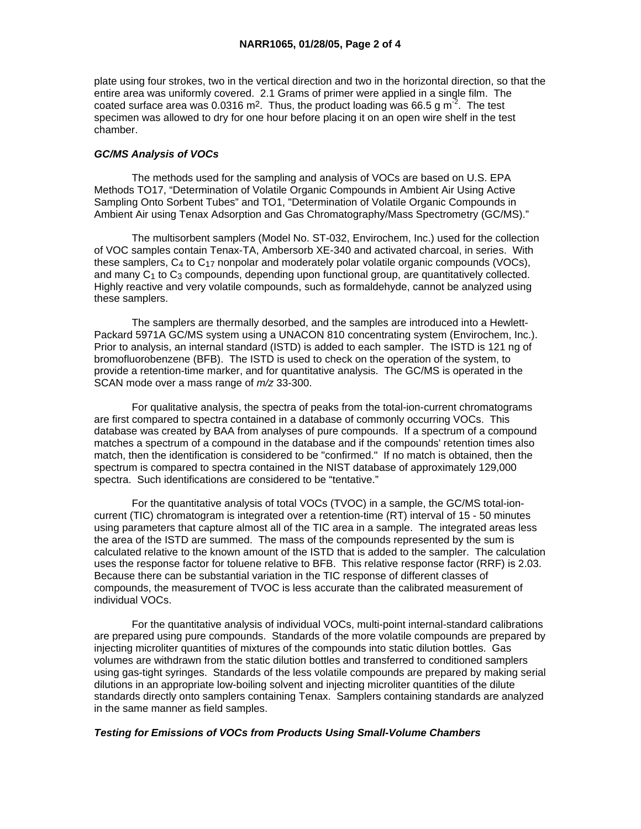plate using four strokes, two in the vertical direction and two in the horizontal direction, so that the entire area was uniformly covered. 2.1 Grams of primer were applied in a single film. The coated surface area was 0.0316 m<sup>2</sup>. Thus, the product loading was 66.5 g m<sup>-2</sup>. The test specimen was allowed to dry for one hour before placing it on an open wire shelf in the test chamber.

# *GC/MS Analysis of VOCs*

 The methods used for the sampling and analysis of VOCs are based on U.S. EPA Methods TO17, "Determination of Volatile Organic Compounds in Ambient Air Using Active Sampling Onto Sorbent Tubes" and TO1, "Determination of Volatile Organic Compounds in Ambient Air using Tenax Adsorption and Gas Chromatography/Mass Spectrometry (GC/MS)."

 The multisorbent samplers (Model No. ST-032, Envirochem, Inc.) used for the collection of VOC samples contain Tenax-TA, Ambersorb XE-340 and activated charcoal, in series. With these samplers,  $C_4$  to  $C_{17}$  nonpolar and moderately polar volatile organic compounds (VOCs), and many C<sub>1</sub> to C<sub>3</sub> compounds, depending upon functional group, are quantitatively collected. Highly reactive and very volatile compounds, such as formaldehyde, cannot be analyzed using these samplers.

 The samplers are thermally desorbed, and the samples are introduced into a Hewlett-Packard 5971A GC/MS system using a UNACON 810 concentrating system (Envirochem, Inc.). Prior to analysis, an internal standard (ISTD) is added to each sampler. The ISTD is 121 ng of bromofluorobenzene (BFB). The ISTD is used to check on the operation of the system, to provide a retention-time marker, and for quantitative analysis. The GC/MS is operated in the SCAN mode over a mass range of *m/z* 33-300.

 For qualitative analysis, the spectra of peaks from the total-ion-current chromatograms are first compared to spectra contained in a database of commonly occurring VOCs. This database was created by BAA from analyses of pure compounds. If a spectrum of a compound matches a spectrum of a compound in the database and if the compounds' retention times also match, then the identification is considered to be "confirmed." If no match is obtained, then the spectrum is compared to spectra contained in the NIST database of approximately 129,000 spectra. Such identifications are considered to be "tentative."

 For the quantitative analysis of total VOCs (TVOC) in a sample, the GC/MS total-ioncurrent (TIC) chromatogram is integrated over a retention-time (RT) interval of 15 - 50 minutes using parameters that capture almost all of the TIC area in a sample. The integrated areas less the area of the ISTD are summed. The mass of the compounds represented by the sum is calculated relative to the known amount of the ISTD that is added to the sampler. The calculation uses the response factor for toluene relative to BFB. This relative response factor (RRF) is 2.03. Because there can be substantial variation in the TIC response of different classes of compounds, the measurement of TVOC is less accurate than the calibrated measurement of individual VOCs.

 For the quantitative analysis of individual VOCs, multi-point internal-standard calibrations are prepared using pure compounds. Standards of the more volatile compounds are prepared by injecting microliter quantities of mixtures of the compounds into static dilution bottles. Gas volumes are withdrawn from the static dilution bottles and transferred to conditioned samplers using gas-tight syringes. Standards of the less volatile compounds are prepared by making serial dilutions in an appropriate low-boiling solvent and injecting microliter quantities of the dilute standards directly onto samplers containing Tenax. Samplers containing standards are analyzed in the same manner as field samples.

# *Testing for Emissions of VOCs from Products Using Small-Volume Chambers*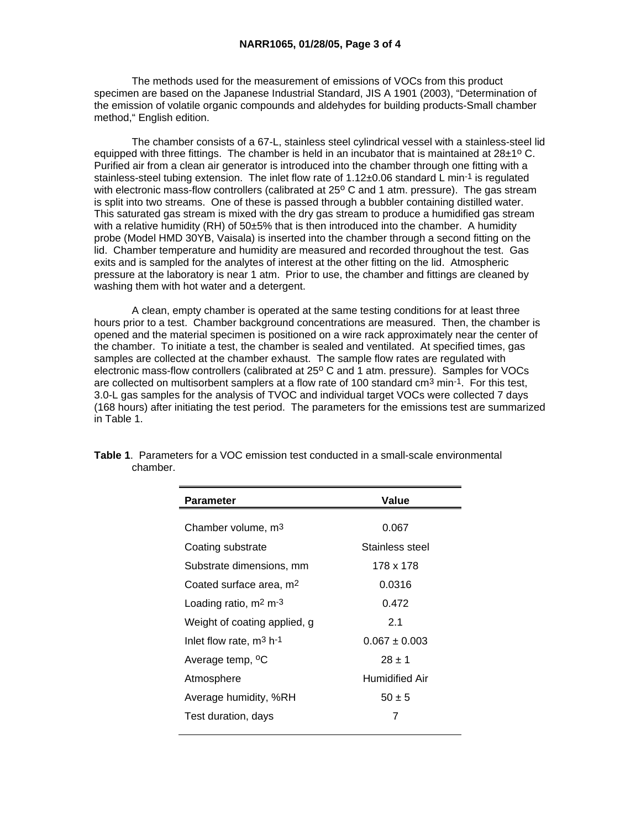The methods used for the measurement of emissions of VOCs from this product specimen are based on the Japanese Industrial Standard, JIS A 1901 (2003), "Determination of the emission of volatile organic compounds and aldehydes for building products-Small chamber method," English edition.

 The chamber consists of a 67-L, stainless steel cylindrical vessel with a stainless-steel lid equipped with three fittings. The chamber is held in an incubator that is maintained at  $28\pm1^{\circ}$  C. Purified air from a clean air generator is introduced into the chamber through one fitting with a stainless-steel tubing extension. The inlet flow rate of 1.12±0.06 standard L min<sup>-1</sup> is regulated with electronic mass-flow controllers (calibrated at 25° C and 1 atm. pressure). The gas stream is split into two streams. One of these is passed through a bubbler containing distilled water. This saturated gas stream is mixed with the dry gas stream to produce a humidified gas stream with a relative humidity (RH) of 50±5% that is then introduced into the chamber. A humidity probe (Model HMD 30YB, Vaisala) is inserted into the chamber through a second fitting on the lid. Chamber temperature and humidity are measured and recorded throughout the test. Gas exits and is sampled for the analytes of interest at the other fitting on the lid. Atmospheric pressure at the laboratory is near 1 atm. Prior to use, the chamber and fittings are cleaned by washing them with hot water and a detergent.

 A clean, empty chamber is operated at the same testing conditions for at least three hours prior to a test. Chamber background concentrations are measured. Then, the chamber is opened and the material specimen is positioned on a wire rack approximately near the center of the chamber. To initiate a test, the chamber is sealed and ventilated. At specified times, gas samples are collected at the chamber exhaust. The sample flow rates are regulated with electronic mass-flow controllers (calibrated at 25° C and 1 atm. pressure). Samples for VOCs are collected on multisorbent samplers at a flow rate of 100 standard cm3 min-1. For this test, 3.0-L gas samples for the analysis of TVOC and individual target VOCs were collected 7 days (168 hours) after initiating the test period. The parameters for the emissions test are summarized in Table 1.

| Parameter                                     | Value                 |
|-----------------------------------------------|-----------------------|
|                                               |                       |
| Chamber volume, m <sup>3</sup>                | 0.067                 |
| Coating substrate                             | Stainless steel       |
| Substrate dimensions, mm                      | 178 x 178             |
| 0.0316<br>Coated surface area, m <sup>2</sup> |                       |
| Loading ratio, m <sup>2</sup> m <sup>-3</sup> | 0.472                 |
| Weight of coating applied, g                  | 2.1                   |
| Inlet flow rate, $m^3$ h-1                    | $0.067 \pm 0.003$     |
| Average temp, <sup>o</sup> C                  | $28 + 1$              |
| Atmosphere                                    | <b>Humidified Air</b> |
| Average humidity, %RH                         | $50 \pm 5$            |
| Test duration, days                           | 7                     |
|                                               |                       |

**Table 1**. Parameters for a VOC emission test conducted in a small-scale environmental chamber.